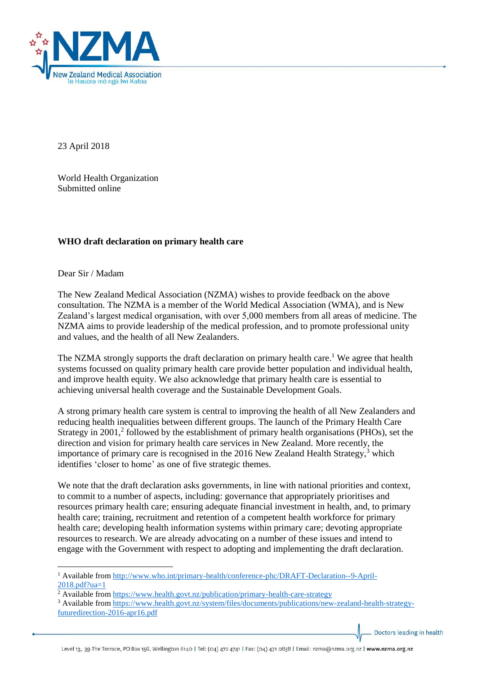

23 April 2018

World Health Organization Submitted online

## **WHO draft declaration on primary health care**

Dear Sir / Madam

1

The New Zealand Medical Association (NZMA) wishes to provide feedback on the above consultation. The NZMA is a member of the World Medical Association (WMA), and is New Zealand's largest medical organisation, with over 5,000 members from all areas of medicine. The NZMA aims to provide leadership of the medical profession, and to promote professional unity and values, and the health of all New Zealanders.

The NZMA strongly supports the draft declaration on primary health care.<sup>1</sup> We agree that health systems focussed on quality primary health care provide better population and individual health, and improve health equity. We also acknowledge that primary health care is essential to achieving universal health coverage and the Sustainable Development Goals.

A strong primary health care system is central to improving the health of all New Zealanders and reducing health inequalities between different groups. The launch of the Primary Health Care Strategy in 2001,<sup>2</sup> followed by the establishment of primary health organisations (PHOs), set the direction and vision for primary health care services in New Zealand. More recently, the importance of primary care is recognised in the 2016 New Zealand Health Strategy, $3$  which identifies 'closer to home' as one of five strategic themes.

We note that the draft declaration asks governments, in line with national priorities and context, to commit to a number of aspects, including: governance that appropriately prioritises and resources primary health care; ensuring adequate financial investment in health, and, to primary health care; training, recruitment and retention of a competent health workforce for primary health care; developing health information systems within primary care; devoting appropriate resources to research. We are already advocating on a number of these issues and intend to engage with the Government with respect to adopting and implementing the draft declaration.

Doctors leading in health

<sup>1</sup> Available from [http://www.who.int/primary-health/conference-phc/DRAFT-Declaration--9-April-](http://www.who.int/primary-health/conference-phc/DRAFT-Declaration--9-April-2018.pdf?ua=1)[2018.pdf?ua=1](http://www.who.int/primary-health/conference-phc/DRAFT-Declaration--9-April-2018.pdf?ua=1)

<sup>&</sup>lt;sup>2</sup> Available from<https://www.health.govt.nz/publication/primary-health-care-strategy>

<sup>&</sup>lt;sup>3</sup> Available from [https://www.health.govt.nz/system/files/documents/publications/new-zealand-health-strategy](https://www.health.govt.nz/system/files/documents/publications/new-zealand-health-strategy-futuredirection-2016-apr16.pdf)[futuredirection-2016-apr16.pdf](https://www.health.govt.nz/system/files/documents/publications/new-zealand-health-strategy-futuredirection-2016-apr16.pdf)